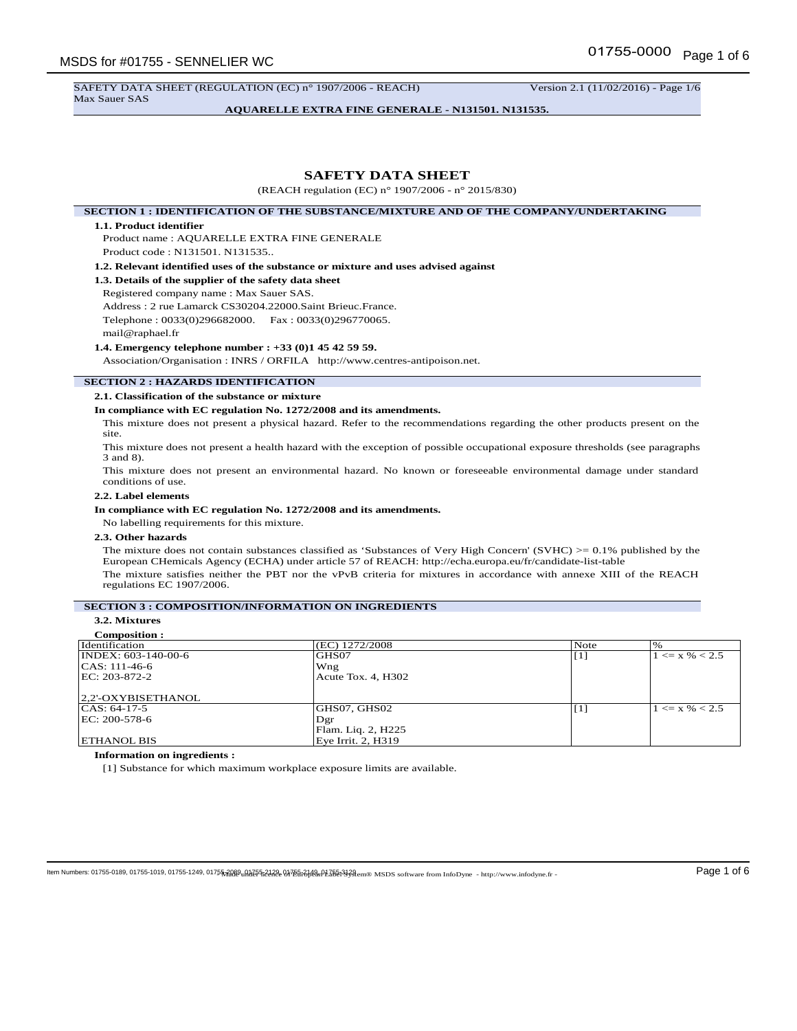SAFETY DATA SHEET (REGULATION (EC) n° 1907/2006 - REACH) Version 2.1 (11/02/2016) - Page 1/6 Max Sauer SAS

**AQUARELLE EXTRA FINE GENERALE - N131501. N131535.**

# **SAFETY DATA SHEET**

(REACH regulation (EC) n° 1907/2006 - n° 2015/830)

**SECTION 1 : IDENTIFICATION OF THE SUBSTANCE/MIXTURE AND OF THE COMPANY/UNDERTAKING**

## **1.1. Product identifier**

Product name : AQUARELLE EXTRA FINE GENERALE Product code : N131501. N131535..

**1.2. Relevant identified uses of the substance or mixture and uses advised against**

**1.3. Details of the supplier of the safety data sheet**

Registered company name : Max Sauer SAS. Address : 2 rue Lamarck CS30204.22000.Saint Brieuc.France. Telephone : 0033(0)296682000. Fax : 0033(0)296770065.

mail@raphael.fr

### **1.4. Emergency telephone number : +33 (0)1 45 42 59 59.**

Association/Organisation : INRS / ORFILA http://www.centres-antipoison.net.

# **SECTION 2 : HAZARDS IDENTIFICATION**

**2.1. Classification of the substance or mixture**

### **In compliance with EC regulation No. 1272/2008 and its amendments.**

This mixture does not present a physical hazard. Refer to the recommendations regarding the other products present on the site.

This mixture does not present a health hazard with the exception of possible occupational exposure thresholds (see paragraphs 3 and 8).

This mixture does not present an environmental hazard. No known or foreseeable environmental damage under standard conditions of use.

# **2.2. Label elements**

#### **In compliance with EC regulation No. 1272/2008 and its amendments.**

No labelling requirements for this mixture.

# **2.3. Other hazards**

The mixture does not contain substances classified as 'Substances of Very High Concern' (SVHC)  $> = 0.1\%$  published by the European CHemicals Agency (ECHA) under article 57 of REACH: http://echa.europa.eu/fr/candidate-list-table The mixture satisfies neither the PBT nor the vPvB criteria for mixtures in accordance with annexe XIII of the REACH regulations EC 1907/2006.

# **SECTION 3 : COMPOSITION/INFORMATION ON INGREDIENTS**

# **3.2. Mixtures**

| <b>Composition:</b>              |                    |                   |                    |
|----------------------------------|--------------------|-------------------|--------------------|
| Identification                   | (EC) 1272/2008     | Note              | $\%$               |
| $\overline{NDEX}$ : 603-140-00-6 | GHS07              | $\lceil 1 \rceil$ | $1 \le x \% < 2.5$ |
| $ CAS: 111-46-6$                 | Wng                |                   |                    |
| EC: 203-872-2                    | Acute Tox. 4, H302 |                   |                    |
|                                  |                    |                   |                    |
| 2,2'-OXYBISETHANOL               |                    |                   |                    |
| $ CAS: 64-17-5$                  | GHS07, GHS02       | $\lceil 1 \rceil$ | $1 \le x \% < 2.5$ |
| EC: 200-578-6                    | Dgr                |                   |                    |
|                                  | Flam. Liq. 2, H225 |                   |                    |
| <b>ETHANOL BIS</b>               | Eye Irrit. 2, H319 |                   |                    |

#### **Information on ingredients :**

[1] Substance for which maximum workplace exposure limits are available.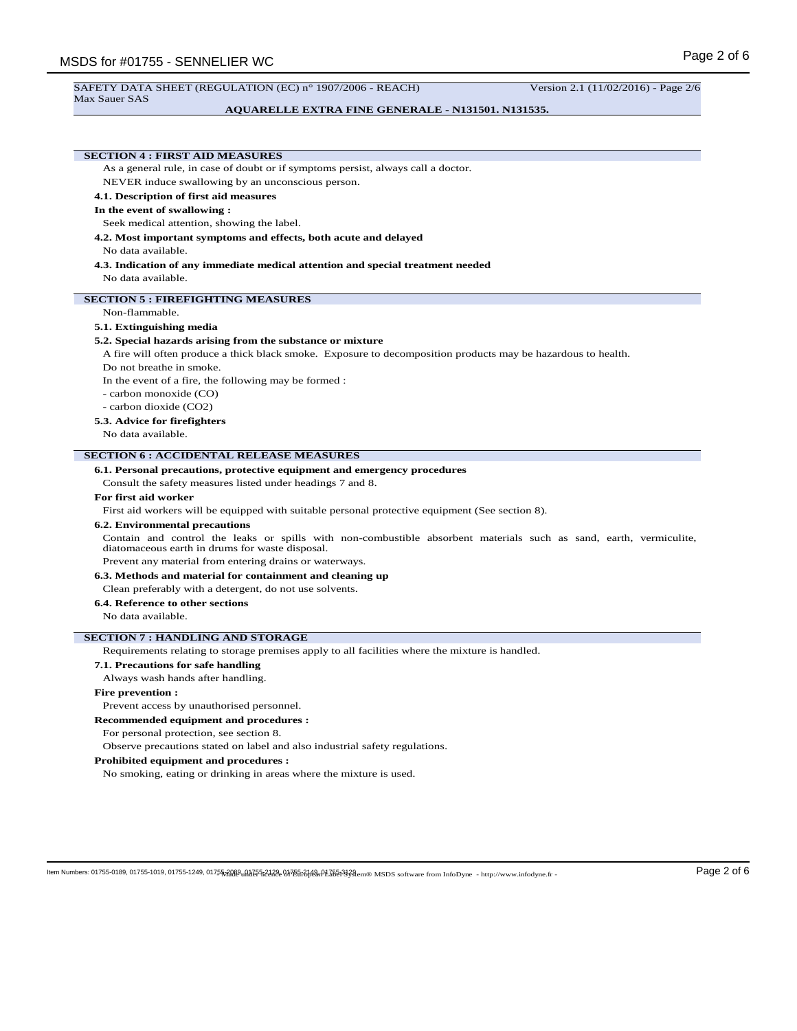#### SAFETY DATA SHEET (REGULATION (EC) n° 1907/2006 - REACH) Version 2.1 (11/02/2016) - Page 2/6 Max Sauer SAS

## **AQUARELLE EXTRA FINE GENERALE - N131501. N131535.**

# **SECTION 4 : FIRST AID MEASURES**

As a general rule, in case of doubt or if symptoms persist, always call a doctor.

NEVER induce swallowing by an unconscious person.

## **4.1. Description of first aid measures**

### **In the event of swallowing :**

Seek medical attention, showing the label.

**4.2. Most important symptoms and effects, both acute and delayed**

# No data available.

**4.3. Indication of any immediate medical attention and special treatment needed** No data available.

# **SECTION 5 : FIREFIGHTING MEASURES**

#### Non-flammable.

#### **5.1. Extinguishing media**

#### **5.2. Special hazards arising from the substance or mixture**

A fire will often produce a thick black smoke. Exposure to decomposition products may be hazardous to health.

Do not breathe in smoke.

In the event of a fire, the following may be formed :

- carbon monoxide (CO)
- carbon dioxide (CO2)

### **5.3. Advice for firefighters**

No data available.

## **SECTION 6 : ACCIDENTAL RELEASE MEASURES**

**6.1. Personal precautions, protective equipment and emergency procedures**

Consult the safety measures listed under headings 7 and 8.

## **For first aid worker**

First aid workers will be equipped with suitable personal protective equipment (See section 8).

## **6.2. Environmental precautions**

Contain and control the leaks or spills with non-combustible absorbent materials such as sand, earth, vermiculite, diatomaceous earth in drums for waste disposal.

Prevent any material from entering drains or waterways.

**6.3. Methods and material for containment and cleaning up**

Clean preferably with a detergent, do not use solvents.

# **6.4. Reference to other sections**

No data available.

## **SECTION 7 : HANDLING AND STORAGE**

Requirements relating to storage premises apply to all facilities where the mixture is handled.

# **7.1. Precautions for safe handling**

Always wash hands after handling.

### **Fire prevention :**

Prevent access by unauthorised personnel.

#### **Recommended equipment and procedures :**

For personal protection, see section 8.

Observe precautions stated on label and also industrial safety regulations.

### **Prohibited equipment and procedures :**

No smoking, eating or drinking in areas where the mixture is used.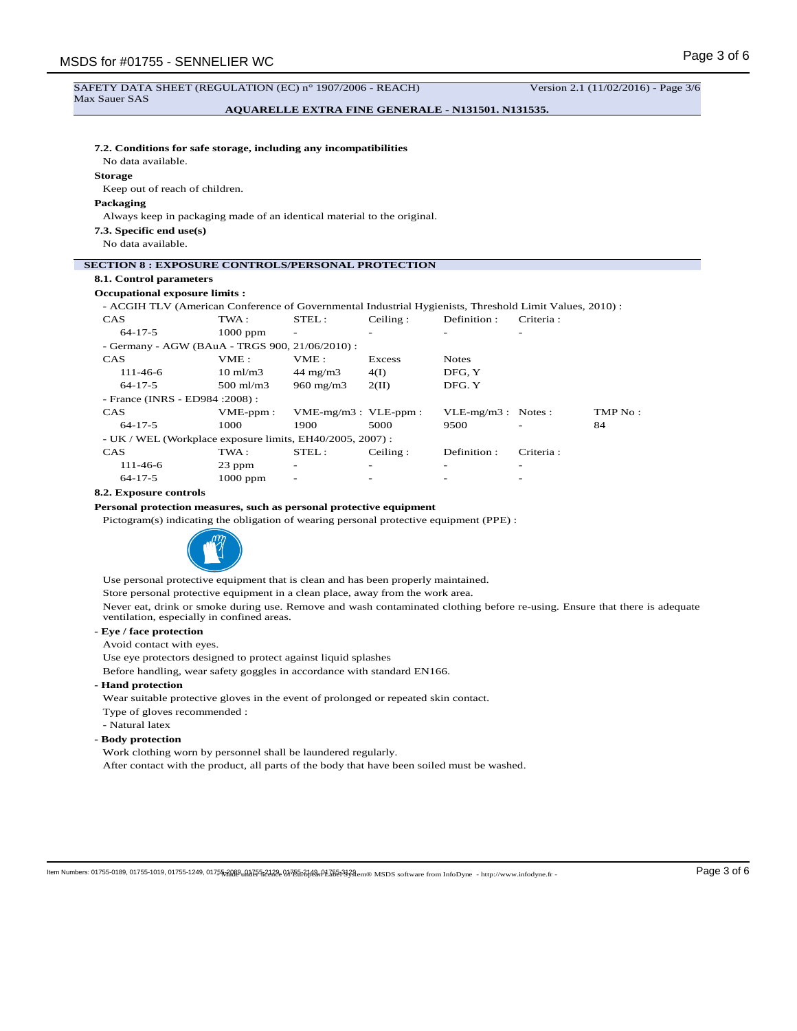#### SAFETY DATA SHEET (REGULATION (EC) n° 1907/2006 - REACH) Version 2.1 (11/02/2016) - Page 3/6 Max Sauer SAS

# **AQUARELLE EXTRA FINE GENERALE - N131501. N131535.**

# **7.2. Conditions for safe storage, including any incompatibilities**

No data available.

# **Storage**

Keep out of reach of children.

# **Packaging**

Always keep in packaging made of an identical material to the original.

**7.3. Specific end use(s)**

No data available.

# **SECTION 8 : EXPOSURE CONTROLS/PERSONAL PROTECTION**

# **8.1. Control parameters**

# **Occupational exposure limits :**

- ACGIH TLV (American Conference of Governmental Industrial Hygienists, Threshold Limit Values, 2010) :

| <b>CAS</b>                                                | TWA:                 | STEL:                     | Ceiling:                 | Definition:          | Criteria: |         |  |  |
|-----------------------------------------------------------|----------------------|---------------------------|--------------------------|----------------------|-----------|---------|--|--|
| $64 - 17 - 5$                                             | $1000$ ppm           |                           |                          |                      | -         |         |  |  |
| - Germany - AGW (BAuA - TRGS 900, 21/06/2010) :           |                      |                           |                          |                      |           |         |  |  |
| <b>CAS</b>                                                | VME:                 | VME:                      | Excess                   | <b>Notes</b>         |           |         |  |  |
| $111 - 46 - 6$                                            | $10 \text{ ml/m}$ 3  | $44 \text{ mg/m}$         | 4(I)                     | DFG. Y               |           |         |  |  |
| $64 - 17 - 5$                                             | $500 \text{ ml/m}$ 3 | $960 \text{ mg/m}$        | 2(II)                    | DFG. Y               |           |         |  |  |
| - France (INRS - ED984 : 2008) :                          |                      |                           |                          |                      |           |         |  |  |
| <b>CAS</b>                                                | $VME-ppm$ :          | $VME-mg/m3$ : $VLE-ppm$ : |                          | $VLE-mg/m3$ : Notes: |           | TMP No: |  |  |
| $64 - 17 - 5$                                             | 1000                 | 1900                      | 5000                     | 9500                 |           | 84      |  |  |
| - UK / WEL (Workplace exposure limits, EH40/2005, 2007) : |                      |                           |                          |                      |           |         |  |  |
| <b>CAS</b>                                                | TWA:                 | STEL:                     | Ceiling:                 | Definition:          | Criteria: |         |  |  |
| 111-46-6                                                  | 23 ppm               | $\overline{\phantom{0}}$  | $\overline{\phantom{0}}$ |                      | -         |         |  |  |
| $64 - 17 - 5$                                             | $1000$ ppm           |                           |                          |                      |           |         |  |  |

## **8.2. Exposure controls**

**Personal protection measures, such as personal protective equipment**

Pictogram(s) indicating the obligation of wearing personal protective equipment (PPE) :



Use personal protective equipment that is clean and has been properly maintained.

Store personal protective equipment in a clean place, away from the work area.

Never eat, drink or smoke during use. Remove and wash contaminated clothing before re-using. Ensure that there is adequate ventilation, especially in confined areas.

# **- Eye / face protection**

Avoid contact with eyes.

Use eye protectors designed to protect against liquid splashes

Before handling, wear safety goggles in accordance with standard EN166.

# **- Hand protection**

Wear suitable protective gloves in the event of prolonged or repeated skin contact.

- Type of gloves recommended :
- Natural latex
- **Body protection**

Work clothing worn by personnel shall be laundered regularly.

After contact with the product, all parts of the body that have been soiled must be washed.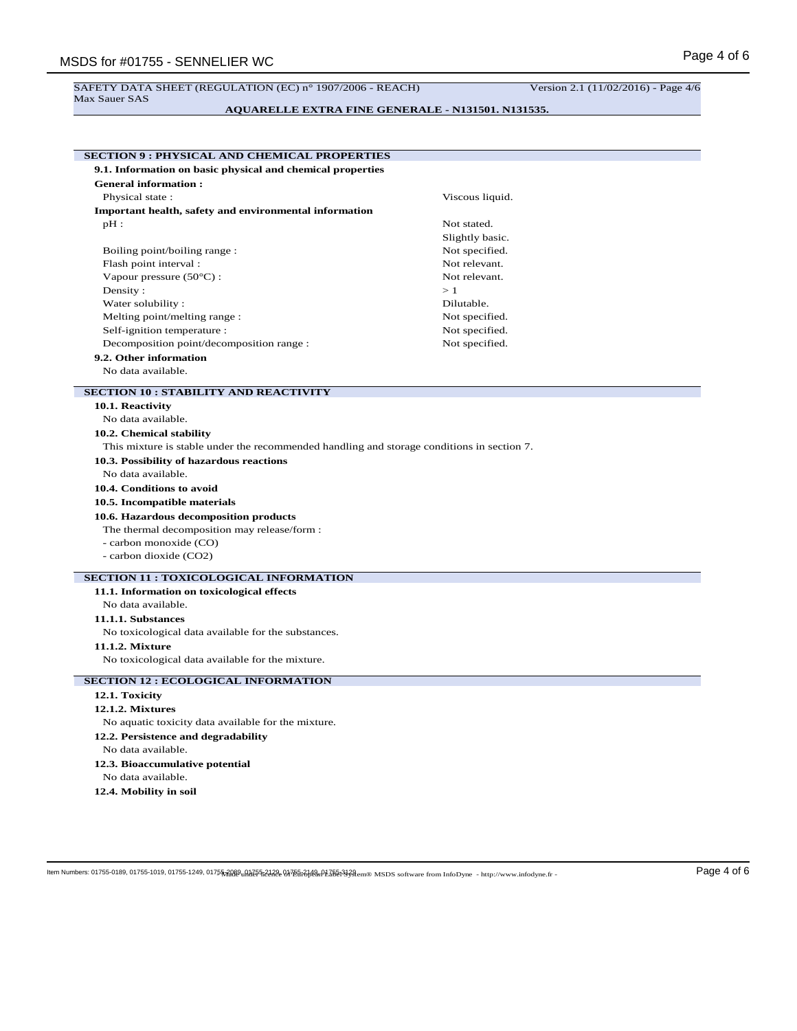#### SAFETY DATA SHEET (REGULATION (EC) n° 1907/2006 - REACH) Version 2.1 (11/02/2016) - Page 4/6 Max Sauer SAS

**AQUARELLE EXTRA FINE GENERALE - N131501. N131535.**

| <b>SECTION 9: PHYSICAL AND CHEMICAL PROPERTIES</b>                                         |                 |  |  |  |  |
|--------------------------------------------------------------------------------------------|-----------------|--|--|--|--|
| 9.1. Information on basic physical and chemical properties                                 |                 |  |  |  |  |
| <b>General information:</b>                                                                |                 |  |  |  |  |
| Physical state:                                                                            | Viscous liquid. |  |  |  |  |
| Important health, safety and environmental information                                     |                 |  |  |  |  |
| $pH$ :                                                                                     | Not stated.     |  |  |  |  |
|                                                                                            | Slightly basic. |  |  |  |  |
| Boiling point/boiling range:                                                               | Not specified.  |  |  |  |  |
| Flash point interval:                                                                      | Not relevant.   |  |  |  |  |
| Vapour pressure $(50^{\circ}C)$ :                                                          | Not relevant.   |  |  |  |  |
| Density:                                                                                   | >1              |  |  |  |  |
| Water solubility:                                                                          | Dilutable.      |  |  |  |  |
| Melting point/melting range:                                                               | Not specified.  |  |  |  |  |
| Self-ignition temperature :                                                                | Not specified.  |  |  |  |  |
| Decomposition point/decomposition range :                                                  | Not specified.  |  |  |  |  |
| 9.2. Other information                                                                     |                 |  |  |  |  |
| No data available.                                                                         |                 |  |  |  |  |
| <b>SECTION 10: STABILITY AND REACTIVITY</b>                                                |                 |  |  |  |  |
| 10.1. Reactivity                                                                           |                 |  |  |  |  |
| No data available.                                                                         |                 |  |  |  |  |
| 10.2. Chemical stability                                                                   |                 |  |  |  |  |
| This mixture is stable under the recommended handling and storage conditions in section 7. |                 |  |  |  |  |
| 10.3. Possibility of hazardous reactions                                                   |                 |  |  |  |  |
| No data available.                                                                         |                 |  |  |  |  |
| 10.4. Conditions to avoid                                                                  |                 |  |  |  |  |
| 10.5. Incompatible materials                                                               |                 |  |  |  |  |
| 10.6. Hazardous decomposition products                                                     |                 |  |  |  |  |
| The thermal decomposition may release/form :                                               |                 |  |  |  |  |
| - carbon monoxide (CO)                                                                     |                 |  |  |  |  |
| - carbon dioxide (CO2)                                                                     |                 |  |  |  |  |
| <b>SECTION 11 : TOXICOLOGICAL INFORMATION</b>                                              |                 |  |  |  |  |
| 11.1. Information on toxicological effects                                                 |                 |  |  |  |  |
| No data available.                                                                         |                 |  |  |  |  |
| 11.1.1. Substances                                                                         |                 |  |  |  |  |
| No toxicological data available for the substances.                                        |                 |  |  |  |  |
| 11.1.2. Mixture                                                                            |                 |  |  |  |  |
| No toxicological data available for the mixture.                                           |                 |  |  |  |  |
|                                                                                            |                 |  |  |  |  |
| <b>SECTION 12 : ECOLOGICAL INFORMATION</b>                                                 |                 |  |  |  |  |
| 12.1. Toxicity                                                                             |                 |  |  |  |  |
| <b>12.1.2. Mixtures</b>                                                                    |                 |  |  |  |  |
| No aquatic toxicity data available for the mixture.                                        |                 |  |  |  |  |
| 12.2. Persistence and degradability                                                        |                 |  |  |  |  |
| No data available.                                                                         |                 |  |  |  |  |
| 12.3. Bioaccumulative potential                                                            |                 |  |  |  |  |
| No data available.                                                                         |                 |  |  |  |  |
| 12.4. Mobility in soil                                                                     |                 |  |  |  |  |

 $\log N$  Mumbers: 01755-0189, 01755-1019, 01755-1249, 01755-1249, 01755-1248, 037551-2128, 037551248, 037551248, 037551248, 037551248, 03755124, 017562, 028 Page 4 of  $6$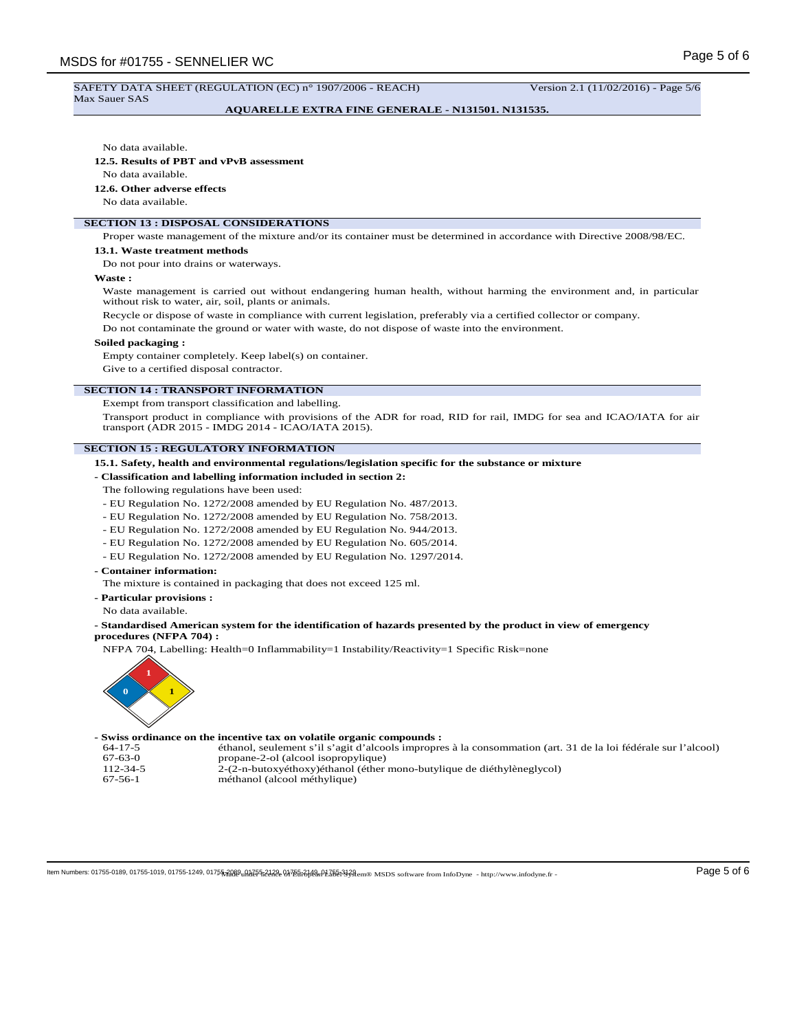#### SAFETY DATA SHEET (REGULATION (EC) n° 1907/2006 - REACH) Version 2.1 (11/02/2016) - Page 5/6 Max Sauer SAS

# **AQUARELLE EXTRA FINE GENERALE - N131501. N131535.**

No data available.

**12.5. Results of PBT and vPvB assessment**

No data available.

### **12.6. Other adverse effects**

No data available.

# **SECTION 13 : DISPOSAL CONSIDERATIONS**

Proper waste management of the mixture and/or its container must be determined in accordance with Directive 2008/98/EC.

#### **13.1. Waste treatment methods**

Do not pour into drains or waterways.

**Waste :**

Waste management is carried out without endangering human health, without harming the environment and, in particular without risk to water, air, soil, plants or animals.

Recycle or dispose of waste in compliance with current legislation, preferably via a certified collector or company.

Do not contaminate the ground or water with waste, do not dispose of waste into the environment.

### **Soiled packaging :**

Empty container completely. Keep label(s) on container.

Give to a certified disposal contractor.

## **SECTION 14 : TRANSPORT INFORMATION**

Exempt from transport classification and labelling.

Transport product in compliance with provisions of the ADR for road, RID for rail, IMDG for sea and ICAO/IATA for air transport (ADR 2015 - IMDG 2014 - ICAO/IATA 2015).

## **SECTION 15 : REGULATORY INFORMATION**

**15.1. Safety, health and environmental regulations/legislation specific for the substance or mixture**

- **Classification and labelling information included in section 2:**
- The following regulations have been used:
- EU Regulation No. 1272/2008 amended by EU Regulation No. 487/2013.
- EU Regulation No. 1272/2008 amended by EU Regulation No. 758/2013.
- EU Regulation No. 1272/2008 amended by EU Regulation No. 944/2013.
- EU Regulation No. 1272/2008 amended by EU Regulation No. 605/2014.
- EU Regulation No. 1272/2008 amended by EU Regulation No. 1297/2014.
- **Container information:**

The mixture is contained in packaging that does not exceed 125 ml.

- **Particular provisions :**
- No data available.

**- Standardised American system for the identification of hazards presented by the product in view of emergency procedures (NFPA 704) :**

NFPA 704, Labelling: Health=0 Inflammability=1 Instability/Reactivity=1 Specific Risk=none



## **- Swiss ordinance on the incentive tax on volatile organic compounds :**

64-17-5 éthanol, seulement s'il s'agit d'alcools impropres à la consommation (art. 31 de la loi fédérale sur l'alcool) 67-63-0 propane-2-ol (alcool isopropylique)<br>112-34-5 2-(2-n-butoxyéthoxy)éthanol (éther 112-34-5 <sup>2</sup>-(2-n-butoxyéthoxy)éthanol (éther mono-butylique de diéthylèneglycol)<br>67-56-1 méthanol (alcool méthylique)

méthanol (alcool méthylique)